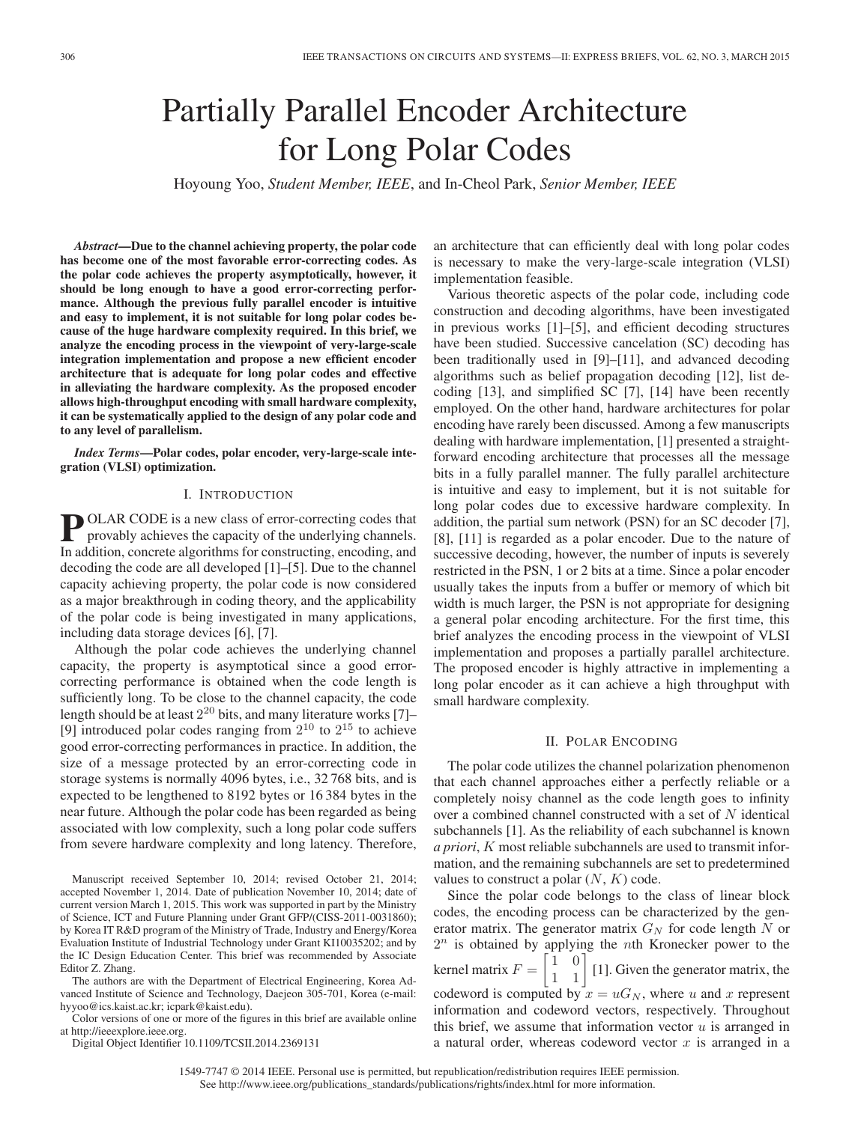# Partially Parallel Encoder Architecture for Long Polar Codes

Hoyoung Yoo, *Student Member, IEEE*, and In-Cheol Park, *Senior Member, IEEE*

*Abstract***—Due to the channel achieving property, the polar code has become one of the most favorable error-correcting codes. As the polar code achieves the property asymptotically, however, it should be long enough to have a good error-correcting performance. Although the previous fully parallel encoder is intuitive and easy to implement, it is not suitable for long polar codes because of the huge hardware complexity required. In this brief, we analyze the encoding process in the viewpoint of very-large-scale integration implementation and propose a new efficient encoder architecture that is adequate for long polar codes and effective in alleviating the hardware complexity. As the proposed encoder allows high-throughput encoding with small hardware complexity, it can be systematically applied to the design of any polar code and to any level of parallelism.**

*Index Terms***—Polar codes, polar encoder, very-large-scale integration (VLSI) optimization.**

## I. INTRODUCTION

**P** OLAR CODE is a new class of error-correcting codes that provably achieves the capacity of the underlying channels. In addition, concrete algorithms for constructing, encoding, and decoding the code are all developed [1]–[5]. Due to the channel capacity achieving property, the polar code is now considered as a major breakthrough in coding theory, and the applicability of the polar code is being investigated in many applications, including data storage devices [6], [7].

Although the polar code achieves the underlying channel capacity, the property is asymptotical since a good errorcorrecting performance is obtained when the code length is sufficiently long. To be close to the channel capacity, the code length should be at least  $2^{20}$  bits, and many literature works [7]– [9] introduced polar codes ranging from  $2^{10}$  to  $2^{15}$  to achieve good error-correcting performances in practice. In addition, the size of a message protected by an error-correcting code in storage systems is normally 4096 bytes, i.e., 32 768 bits, and is expected to be lengthened to 8192 bytes or 16 384 bytes in the near future. Although the polar code has been regarded as being associated with low complexity, such a long polar code suffers from severe hardware complexity and long latency. Therefore,

Manuscript received September 10, 2014; revised October 21, 2014; accepted November 1, 2014. Date of publication November 10, 2014; date of current version March 1, 2015. This work was supported in part by the Ministry of Science, ICT and Future Planning under Grant GFP/(CISS-2011-0031860); by Korea IT R&D program of the Ministry of Trade, Industry and Energy/Korea Evaluation Institute of Industrial Technology under Grant KI10035202; and by the IC Design Education Center. This brief was recommended by Associate Editor Z. Zhang.

The authors are with the Department of Electrical Engineering, Korea Advanced Institute of Science and Technology, Daejeon 305-701, Korea (e-mail: hyyoo@ics.kaist.ac.kr; icpark@kaist.edu).

Color versions of one or more of the figures in this brief are available online at http://ieeexplore.ieee.org.

Digital Object Identifier 10.1109/TCSII.2014.2369131

an architecture that can efficiently deal with long polar codes is necessary to make the very-large-scale integration (VLSI) implementation feasible.

Various theoretic aspects of the polar code, including code construction and decoding algorithms, have been investigated in previous works [1]–[5], and efficient decoding structures have been studied. Successive cancelation (SC) decoding has been traditionally used in [9]–[11], and advanced decoding algorithms such as belief propagation decoding [12], list decoding [13], and simplified SC [7], [14] have been recently employed. On the other hand, hardware architectures for polar encoding have rarely been discussed. Among a few manuscripts dealing with hardware implementation, [1] presented a straightforward encoding architecture that processes all the message bits in a fully parallel manner. The fully parallel architecture is intuitive and easy to implement, but it is not suitable for long polar codes due to excessive hardware complexity. In addition, the partial sum network (PSN) for an SC decoder [7], [8], [11] is regarded as a polar encoder. Due to the nature of successive decoding, however, the number of inputs is severely restricted in the PSN, 1 or 2 bits at a time. Since a polar encoder usually takes the inputs from a buffer or memory of which bit width is much larger, the PSN is not appropriate for designing a general polar encoding architecture. For the first time, this brief analyzes the encoding process in the viewpoint of VLSI implementation and proposes a partially parallel architecture. The proposed encoder is highly attractive in implementing a long polar encoder as it can achieve a high throughput with small hardware complexity.

# II. POLAR ENCODING

The polar code utilizes the channel polarization phenomenon that each channel approaches either a perfectly reliable or a completely noisy channel as the code length goes to infinity over a combined channel constructed with a set of N identical subchannels [1]. As the reliability of each subchannel is known *a priori*, K most reliable subchannels are used to transmit information, and the remaining subchannels are set to predetermined values to construct a polar  $(N, K)$  code.

Since the polar code belongs to the class of linear block codes, the encoding process can be characterized by the generator matrix. The generator matrix  $G_N$  for code length N or  $2^n$  is obtained by applying the nth Kronecker power to the kernel matrix  $F = \begin{bmatrix} 1 & 0 \\ 1 & 1 \end{bmatrix}$  [1]. Given the generator matrix, the codeword is computed by  $x = uG_N$ , where u and x represent information and codeword vectors, respectively. Throughout this brief, we assume that information vector  $u$  is arranged in a natural order, whereas codeword vector  $x$  is arranged in a

1549-7747 © 2014 IEEE. Personal use is permitted, but republication/redistribution requires IEEE permission. See http://www.ieee.org/publications\_standards/publications/rights/index.html for more information.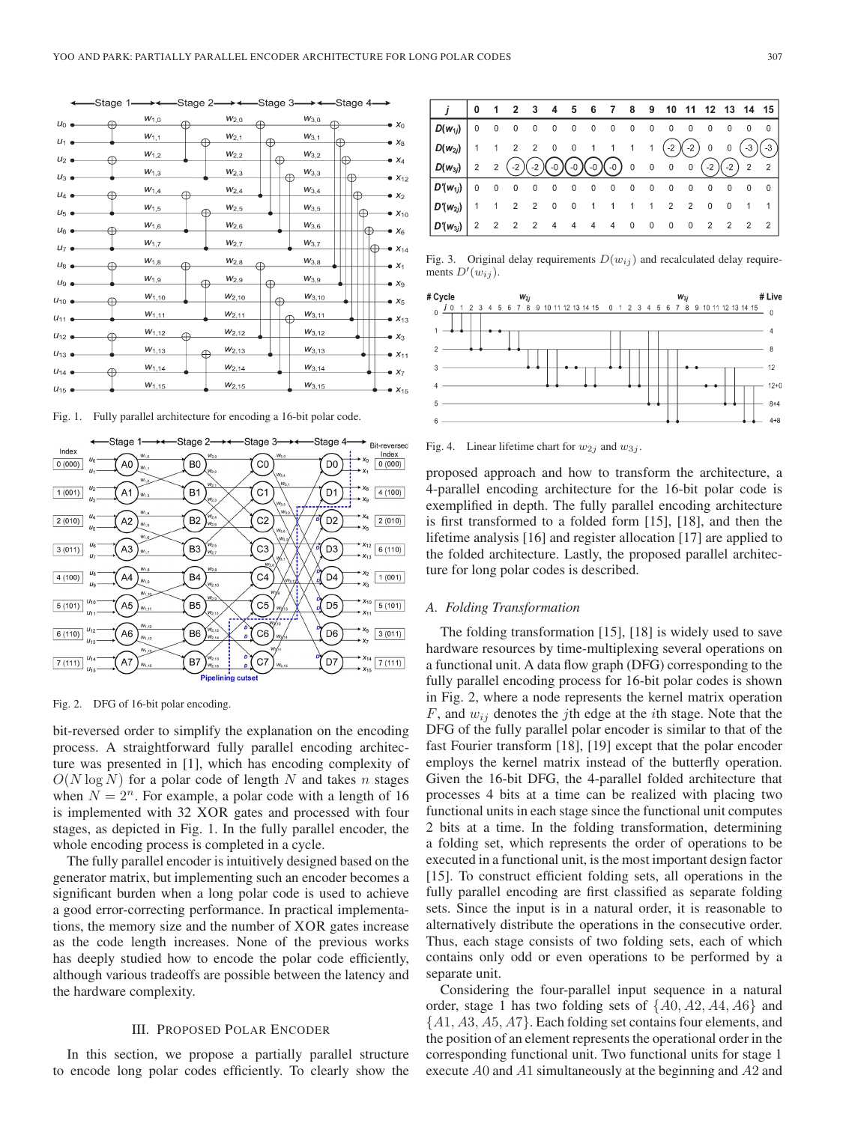

Fig. 1. Fully parallel architecture for encoding a 16-bit polar code.



Fig. 2. DFG of 16-bit polar encoding.

bit-reversed order to simplify the explanation on the encoding process. A straightforward fully parallel encoding architecture was presented in [1], which has encoding complexity of  $O(N \log N)$  for a polar code of length N and takes n stages when  $N = 2<sup>n</sup>$ . For example, a polar code with a length of 16 is implemented with 32 XOR gates and processed with four stages, as depicted in Fig. 1. In the fully parallel encoder, the whole encoding process is completed in a cycle.

The fully parallel encoder is intuitively designed based on the generator matrix, but implementing such an encoder becomes a significant burden when a long polar code is used to achieve a good error-correcting performance. In practical implementations, the memory size and the number of XOR gates increase as the code length increases. None of the previous works has deeply studied how to encode the polar code efficiently, although various tradeoffs are possible between the latency and the hardware complexity.

#### III. PROPOSED POLAR ENCODER

In this section, we propose a partially parallel structure to encode long polar codes efficiently. To clearly show the

|                      | 0              |                | $1 \quad 2 \quad 3$ |                     | 4                        |                |                          | 5 6 7 8 9 10 11 12 13 14 15                 |                         |                          |                          |                |                |                |                 |                |
|----------------------|----------------|----------------|---------------------|---------------------|--------------------------|----------------|--------------------------|---------------------------------------------|-------------------------|--------------------------|--------------------------|----------------|----------------|----------------|-----------------|----------------|
| $ D(w_{1i}) $        | $\Omega$       | 0              | $\bf{0}$            | 0                   | $\overline{0}$           | $\overline{0}$ |                          | $\begin{matrix} 0 & 0 & 0 & 0 \end{matrix}$ |                         |                          | $\overline{0}$           | $\overline{0}$ | $\mathbf 0$    | $\mathbf 0$    | $\Omega$        | $\overline{0}$ |
| $D(w_{2i})$          |                | $\overline{1}$ |                     | $2 \quad 2 \quad 0$ |                          |                |                          | 0 1 1 1 1                                   |                         |                          | $(-2)(-2)$               |                | $\overline{0}$ | 0              | $-3,$           | $(-3)$         |
| $\mid D(w_{3j})\mid$ | $\overline{2}$ | $\overline{2}$ | $-2)$               |                     |                          |                |                          | $(-2)(-0)(-0)(-0)(-0)$ 0 0 0                |                         |                          |                          | $\overline{0}$ | $(-2)$         |                | $\sqrt{(-2)}$ 2 | $\overline{2}$ |
| $ D'(w_{1j}) $       | $\Omega$       | 0              | $\mathbf 0$         | 0                   | $\mathbf 0$              | $\mathbf 0$    | $\overline{\phantom{0}}$ | $0\qquad 0\qquad 0$                         |                         |                          | $\overline{0}$           | 0              | $\bf{0}$       | 0              | 0               | $\Omega$       |
| $D'(w_{2j})$         |                | $\overline{1}$ | $\overline{2}$      | $\overline{2}$      | $\overline{\phantom{0}}$ | $\mathbf 0$    | $\overline{1}$           | $\overline{1}$                              | 1                       | $\overline{1}$           | $\overline{2}$           | $\overline{2}$ | 0              | $\Omega$       |                 |                |
| $ D'(w_{3i}) $       | $\overline{2}$ |                | $2 \quad 2$         | $\overline{2}$      | 4                        | 4              | 4                        | $\overline{4}$                              | $\overline{\mathbf{0}}$ | $\overline{\phantom{0}}$ | $\overline{\phantom{0}}$ | $\overline{0}$ | $\overline{2}$ | $\overline{2}$ | $\overline{2}$  | $\overline{2}$ |

Fig. 3. Original delay requirements  $D(w_{ij})$  and recalculated delay requirements  $D'(w_{ij})$ .



Fig. 4. Linear lifetime chart for  $w_{2i}$  and  $w_{3i}$ .

proposed approach and how to transform the architecture, a 4-parallel encoding architecture for the 16-bit polar code is exemplified in depth. The fully parallel encoding architecture is first transformed to a folded form [15], [18], and then the lifetime analysis [16] and register allocation [17] are applied to the folded architecture. Lastly, the proposed parallel architecture for long polar codes is described.

# *A. Folding Transformation*

The folding transformation [15], [18] is widely used to save hardware resources by time-multiplexing several operations on a functional unit. A data flow graph (DFG) corresponding to the fully parallel encoding process for 16-bit polar codes is shown in Fig. 2, where a node represents the kernel matrix operation  $F$ , and  $w_{ij}$  denotes the j<sup>th</sup> edge at the *i*th stage. Note that the DFG of the fully parallel polar encoder is similar to that of the fast Fourier transform [18], [19] except that the polar encoder employs the kernel matrix instead of the butterfly operation. Given the 16-bit DFG, the 4-parallel folded architecture that processes 4 bits at a time can be realized with placing two functional units in each stage since the functional unit computes 2 bits at a time. In the folding transformation, determining a folding set, which represents the order of operations to be executed in a functional unit, is the most important design factor [15]. To construct efficient folding sets, all operations in the fully parallel encoding are first classified as separate folding sets. Since the input is in a natural order, it is reasonable to alternatively distribute the operations in the consecutive order. Thus, each stage consists of two folding sets, each of which contains only odd or even operations to be performed by a separate unit.

Considering the four-parallel input sequence in a natural order, stage 1 has two folding sets of  $\{A0, A2, A4, A6\}$  and  $\{A1, A3, A5, A7\}$ . Each folding set contains four elements, and the position of an element represents the operational order in the corresponding functional unit. Two functional units for stage 1 execute A0 and A1 simultaneously at the beginning and A2 and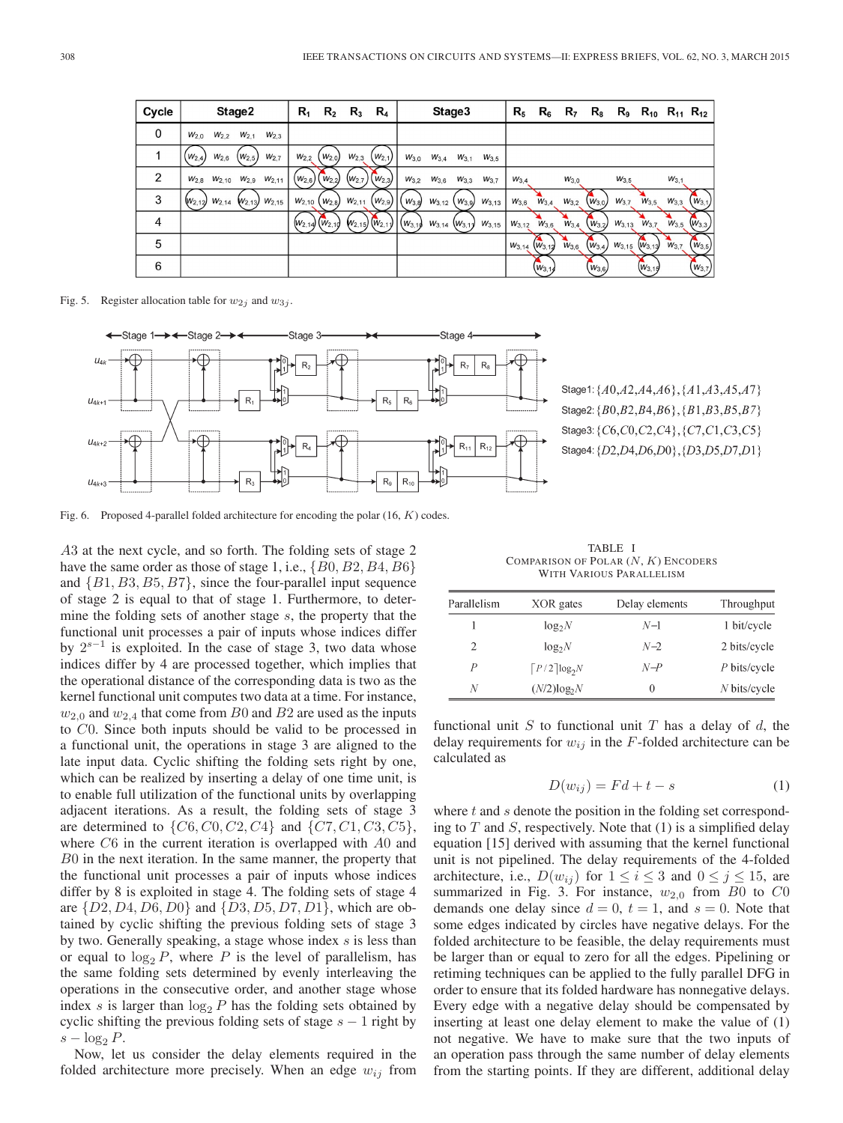| Cycle       | Stage2                                                      | $\mathsf{R}_1$   | $R_{2}$                   | $R_{3}$          | $R_4$                     |            | Stage3                |           |            | $\mathsf{R}_5$ | $R_6$        | R <sub>7</sub> | $R_{8}$     |            | $R_9$ $R_{10}$ $R_{11}$ $R_{12}$ |           |             |
|-------------|-------------------------------------------------------------|------------------|---------------------------|------------------|---------------------------|------------|-----------------------|-----------|------------|----------------|--------------|----------------|-------------|------------|----------------------------------|-----------|-------------|
| $\mathbf 0$ | $W_{2,0}$<br>$W_{2,2}$<br>$W_{2.1}$<br>$W_{2,3}$            |                  |                           |                  |                           |            |                       |           |            |                |              |                |             |            |                                  |           |             |
|             | $W_{2,6}$<br>$(W_{2.5})$<br>W <sub>2.7</sub><br>$(W_{2,4})$ | W <sub>2.2</sub> | $W_{2,0}$                 | W <sub>2,3</sub> | $(W_{2,1})$               | $W_{3,0}$  | $W_{3,4}$             | $W_{3,1}$ | $W_{3,5}$  |                |              |                |             |            |                                  |           |             |
| 2           | $W_{2,10}$ $W_{2,9}$<br>$W_{2,11}$<br>$W_{2,8}$             | $(W_{2,6})$      | $W_{2,2}$                 | . $(W_{2,7})$    | $(W_{2,3})$               | $W_{3,2}$  | $W_{3,6}$             | $W_{3,3}$ | $W_{3.7}$  | $W_{3.4}$      |              | $W_{3,0}$      |             | $W_{3,5}$  |                                  | $W_{3,1}$ |             |
| 3           | $W_{2,12}$<br>$W_{2,14}$<br>$W_{2,15}$<br>$W_{2,13}$        | $W_{2,10}$       | $W_{2,8}$                 | $W_{2,11}$       | $(W_{2,9})$               | $W_{3,8}$  | $W_{3,12}$            | $W_{3,9}$ | $W_{3,13}$ | $W_{3,6}$      | $W_{3,4}$    | $W_{3,2}$      | $(w_{3,0})$ | $W_{3,7}$  | $W_{3,5}$                        | $W_{3,3}$ | $W_{3,1}$   |
| 4           |                                                             |                  | $(W_{2,14})$ $(W_{2,10})$ |                  | $(w_{2,15})$ $(w_{2,11})$ | (1.003, 1) | $W_{3,14}$ $(W_{3,1}$ |           | $W_{3,15}$ | $W_{3,12}$     | $W_{3,6}$    | $W_{3,4}$      | $W_{3,2}$   | $W_{3,13}$ | $W_{3,7}$                        | $W_{3,5}$ | $(W_{3,3})$ |
| 5           |                                                             |                  |                           |                  |                           |            |                       |           |            | $W_{3,14}$     | $(W_{3,12})$ | $W_{3,6}$      | $(w_{3,4})$ | $W_{3,15}$ | $W_{3,13}$                       | $W_{3,7}$ | $(w_{3,5})$ |
| 6           |                                                             |                  |                           |                  |                           |            |                       |           |            |                | $(w_{3,1})$  |                | $(w_{3,6})$ |            | $(W_{3,19})$                     |           | $(w_{3,7})$ |

Fig. 5. Register allocation table for  $w_{2j}$  and  $w_{3j}$ .



Stage1: {A0,A2,A4,A6}, {A1,A3,A5,A7} Stage2:  ${B0,B2,B4,B6}$ ,  ${B1,B3,B5,B7}$ Stage3: {C6,C0,C2,C4}, {C7,C1,C3,C5} Stage4: {D2,D4,D6,D0}, {D3,D5,D7,D1}

Fig. 6. Proposed 4-parallel folded architecture for encoding the polar (16, K) codes.

A3 at the next cycle, and so forth. The folding sets of stage 2 have the same order as those of stage 1, i.e.,  $\{B0, B2, B4, B6\}$ and  $\{B1, B3, B5, B7\}$ , since the four-parallel input sequence of stage 2 is equal to that of stage 1. Furthermore, to determine the folding sets of another stage s, the property that the functional unit processes a pair of inputs whose indices differ by  $2^{s-1}$  is exploited. In the case of stage 3, two data whose indices differ by 4 are processed together, which implies that the operational distance of the corresponding data is two as the kernel functional unit computes two data at a time. For instance,  $w_{2,0}$  and  $w_{2,4}$  that come from B0 and B2 are used as the inputs to C0. Since both inputs should be valid to be processed in a functional unit, the operations in stage 3 are aligned to the late input data. Cyclic shifting the folding sets right by one, which can be realized by inserting a delay of one time unit, is to enable full utilization of the functional units by overlapping adjacent iterations. As a result, the folding sets of stage 3 are determined to  $\{C6, C0, C2, C4\}$  and  $\{C7, C1, C3, C5\}$ , where  $C6$  in the current iteration is overlapped with  $A0$  and B0 in the next iteration. In the same manner, the property that the functional unit processes a pair of inputs whose indices differ by 8 is exploited in stage 4. The folding sets of stage 4 are  $\{D2, D4, D6, D0\}$  and  $\{D3, D5, D7, D1\}$ , which are obtained by cyclic shifting the previous folding sets of stage 3 by two. Generally speaking, a stage whose index s is less than or equal to  $\log_2 P$ , where P is the level of parallelism, has the same folding sets determined by evenly interleaving the operations in the consecutive order, and another stage whose index s is larger than  $\log_2 P$  has the folding sets obtained by cyclic shifting the previous folding sets of stage  $s - 1$  right by  $s - \log_2 P$ .

Now, let us consider the delay elements required in the folded architecture more precisely. When an edge  $w_{ij}$  from

TABLE I COMPARISON OF POLAR  $(N, K)$  ENCODERS WITH VARIOUS PARALLELISM

| Parallelism | XOR gates                    | Delay elements | Throughput   |
|-------------|------------------------------|----------------|--------------|
|             | $log_2N$                     | $N-1$          | 1 bit/cycle  |
| 2           | $log_2N$                     | $N-2$          | 2 bits/cycle |
| P           | $\lceil P/2 \rceil \log_2 N$ | $N-P$          | P bits/cycle |
| N           | $(N/2)$ log <sub>2</sub> $N$ | $^{()}$        | N bits/cycle |

functional unit  $S$  to functional unit  $T$  has a delay of  $d$ , the delay requirements for  $w_{ij}$  in the F-folded architecture can be calculated as

$$
D(w_{ij}) = Fd + t - s \tag{1}
$$

where  $t$  and  $s$  denote the position in the folding set corresponding to  $T$  and  $S$ , respectively. Note that (1) is a simplified delay equation [15] derived with assuming that the kernel functional unit is not pipelined. The delay requirements of the 4-folded architecture, i.e.,  $D(w_{ij})$  for  $1 \le i \le 3$  and  $0 \le j \le 15$ , are summarized in Fig. 3. For instance,  $w_{2,0}$  from B0 to C0 demands one delay since  $d = 0$ ,  $t = 1$ , and  $s = 0$ . Note that some edges indicated by circles have negative delays. For the folded architecture to be feasible, the delay requirements must be larger than or equal to zero for all the edges. Pipelining or retiming techniques can be applied to the fully parallel DFG in order to ensure that its folded hardware has nonnegative delays. Every edge with a negative delay should be compensated by inserting at least one delay element to make the value of (1) not negative. We have to make sure that the two inputs of an operation pass through the same number of delay elements from the starting points. If they are different, additional delay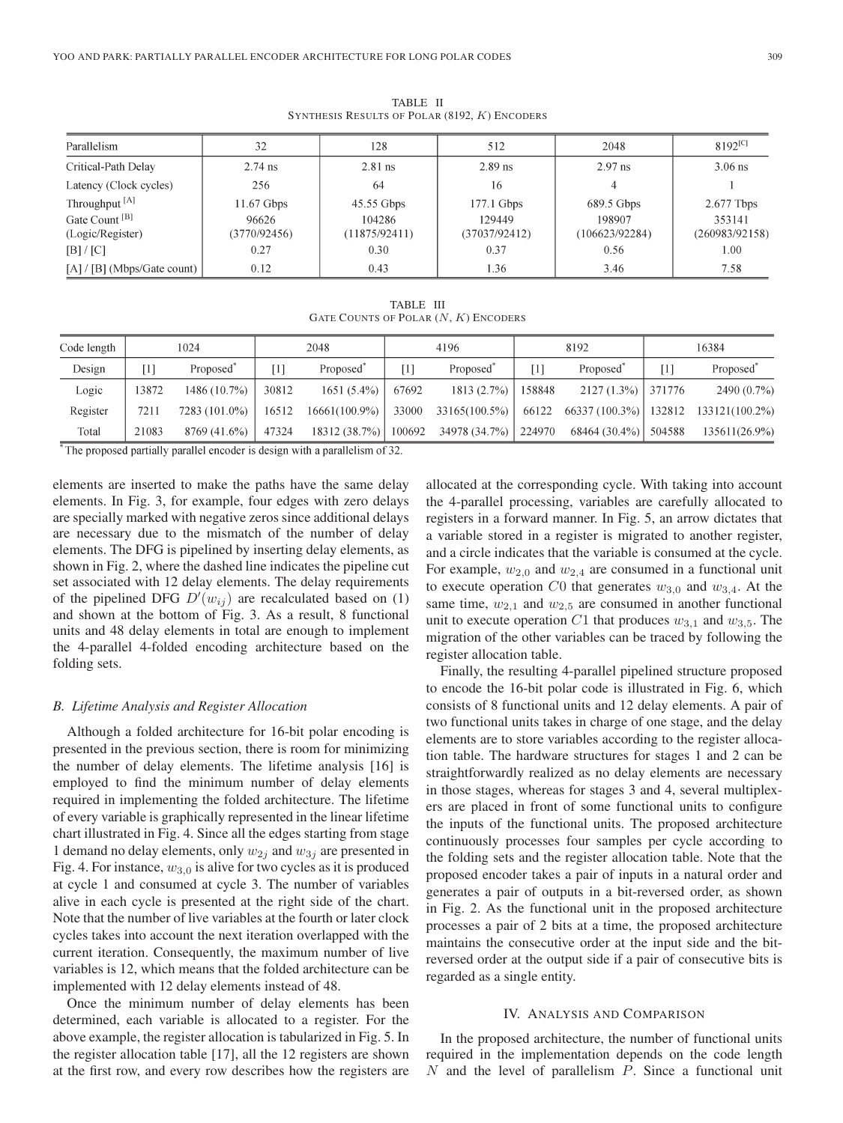$8192^{[C]}$ Parallelism 32 12.8 512 2048 2.97 ns 2.74 ns  $2.81$  ns Critical-Path Delay 2.89 ns 3.06 ns Latency (Clock cycles) 256 64 16  $\overline{4}$  $\mathbf{1}$ 2.677 Tbps Throughput<sup>[A]</sup> 11.67 Gbps 45.55 Gbps 177.1 Gbps 689.5 Gbps Gate Count<sup>[B]</sup> 96626 104286 129449 198907 353141 (Logic/Register)  $(3770/92456)$  $(11875/92411)$  $(37037/92412)$  $(106623/92284)$  $(260983/92158)$  $[B]/[C]$  $0.27$ 0.30 0.37 0.56  $1.00\,$ [A] / [B] (Mbps/Gate count) 0.12 0.43 1.36 3.46 7.58

TABLE II SYNTHESIS RESULTS OF POLAR (8192, K) ENCODERS

TABLE III GATE COUNTS OF POLAR (N, K) ENCODERS

| Code length |       | 1024                  |       | 2048                   |                   | 4196                  |                                            | 8192                   | 16384 |                                                                 |  |
|-------------|-------|-----------------------|-------|------------------------|-------------------|-----------------------|--------------------------------------------|------------------------|-------|-----------------------------------------------------------------|--|
| Design      | [1]   | Proposed <sup>®</sup> | '11   | Proposed <sup>®</sup>  | $\lceil 1 \rceil$ | Proposed <sup>®</sup> | Proposed <sup>®</sup><br>$\lceil 1 \rceil$ |                        | [1]   | Proposed <sup>"</sup>                                           |  |
| Logic       | 13872 | 1486(10.7%)           | 30812 | $1651(5.4\%)$          | 67692             | 1813(2.7%)            | 158848                                     | $2127(1.3\%)$ 371776   |       | $2490(0.7\%)$                                                   |  |
| Register    | 7211  | 7283 (101.0%)         | 16512 | $16661(100.9\%)$       | 33000             |                       |                                            |                        |       | $33165(100.5\%)$   66122 66337 (100.3%)   132812 133121(100.2%) |  |
| Total       | 21083 | 8769 (41.6%)          | 47324 | 18312 (38.7%)   100692 |                   | 34978 (34.7%) 224970  |                                            | $68464(30.4\%)$ 504588 |       | 135611(26.9%)                                                   |  |

\*The proposed partially parallel encoder is design with a parallelism of 32.

elements are inserted to make the paths have the same delay elements. In Fig. 3, for example, four edges with zero delays are specially marked with negative zeros since additional delays are necessary due to the mismatch of the number of delay elements. The DFG is pipelined by inserting delay elements, as shown in Fig. 2, where the dashed line indicates the pipeline cut set associated with 12 delay elements. The delay requirements of the pipelined DFG  $D'(w_{ij})$  are recalculated based on (1) and shown at the bottom of Fig. 3. As a result, 8 functional units and 48 delay elements in total are enough to implement the 4-parallel 4-folded encoding architecture based on the folding sets.

#### *B. Lifetime Analysis and Register Allocation*

Although a folded architecture for 16-bit polar encoding is presented in the previous section, there is room for minimizing the number of delay elements. The lifetime analysis [16] is employed to find the minimum number of delay elements required in implementing the folded architecture. The lifetime of every variable is graphically represented in the linear lifetime chart illustrated in Fig. 4. Since all the edges starting from stage 1 demand no delay elements, only  $w_{2i}$  and  $w_{3i}$  are presented in Fig. 4. For instance,  $w_{3,0}$  is alive for two cycles as it is produced at cycle 1 and consumed at cycle 3. The number of variables alive in each cycle is presented at the right side of the chart. Note that the number of live variables at the fourth or later clock cycles takes into account the next iteration overlapped with the current iteration. Consequently, the maximum number of live variables is 12, which means that the folded architecture can be implemented with 12 delay elements instead of 48.

Once the minimum number of delay elements has been determined, each variable is allocated to a register. For the above example, the register allocation is tabularized in Fig. 5. In the register allocation table [17], all the 12 registers are shown at the first row, and every row describes how the registers are allocated at the corresponding cycle. With taking into account the 4-parallel processing, variables are carefully allocated to registers in a forward manner. In Fig. 5, an arrow dictates that a variable stored in a register is migrated to another register, and a circle indicates that the variable is consumed at the cycle. For example,  $w_{2,0}$  and  $w_{2,4}$  are consumed in a functional unit to execute operation C0 that generates  $w_{3,0}$  and  $w_{3,4}$ . At the same time,  $w_{2,1}$  and  $w_{2,5}$  are consumed in another functional unit to execute operation C1 that produces  $w_{3,1}$  and  $w_{3,5}$ . The migration of the other variables can be traced by following the register allocation table.

Finally, the resulting 4-parallel pipelined structure proposed to encode the 16-bit polar code is illustrated in Fig. 6, which consists of 8 functional units and 12 delay elements. A pair of two functional units takes in charge of one stage, and the delay elements are to store variables according to the register allocation table. The hardware structures for stages 1 and 2 can be straightforwardly realized as no delay elements are necessary in those stages, whereas for stages 3 and 4, several multiplexers are placed in front of some functional units to configure the inputs of the functional units. The proposed architecture continuously processes four samples per cycle according to the folding sets and the register allocation table. Note that the proposed encoder takes a pair of inputs in a natural order and generates a pair of outputs in a bit-reversed order, as shown in Fig. 2. As the functional unit in the proposed architecture processes a pair of 2 bits at a time, the proposed architecture maintains the consecutive order at the input side and the bitreversed order at the output side if a pair of consecutive bits is regarded as a single entity.

#### IV. ANALYSIS AND COMPARISON

In the proposed architecture, the number of functional units required in the implementation depends on the code length  $N$  and the level of parallelism  $P$ . Since a functional unit